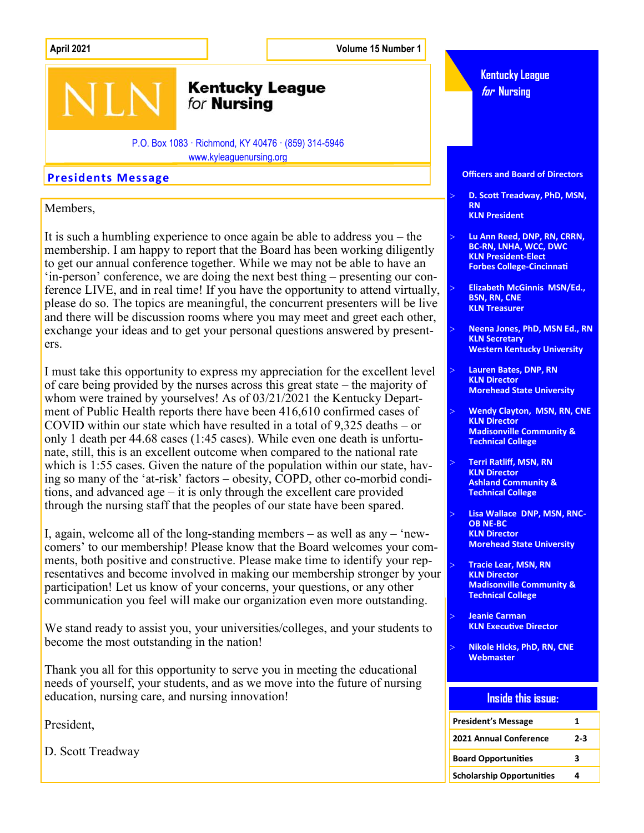**April 2021 Volume 15 Number 1**

### **Kentucky League** for **Nursing**

P.O. Box 1083 · Richmond, KY 40476 · (859) 314-5946 www.kyleaguenursing.org

Members,

It is such a humbling experience to once again be able to address you – the membership. I am happy to report that the Board has been working diligently to get our annual conference together. While we may not be able to have an 'in-person' conference, we are doing the next best thing – presenting our conference LIVE, and in real time! If you have the opportunity to attend virtually, please do so. The topics are meaningful, the concurrent presenters will be live and there will be discussion rooms where you may meet and greet each other, exchange your ideas and to get your personal questions answered by presenters.

I must take this opportunity to express my appreciation for the excellent level of care being provided by the nurses across this great state – the majority of whom were trained by yourselves! As of 03/21/2021 the Kentucky Department of Public Health reports there have been 416,610 confirmed cases of COVID within our state which have resulted in a total of 9,325 deaths – or only 1 death per 44.68 cases (1:45 cases). While even one death is unfortunate, still, this is an excellent outcome when compared to the national rate which is 1:55 cases. Given the nature of the population within our state, having so many of the 'at-risk' factors – obesity, COPD, other co-morbid conditions, and advanced age – it is only through the excellent care provided through the nursing staff that the peoples of our state have been spared.

I, again, welcome all of the long-standing members – as well as any – 'newcomers' to our membership! Please know that the Board welcomes your comments, both positive and constructive. Please make time to identify your representatives and become involved in making our membership stronger by your participation! Let us know of your concerns, your questions, or any other communication you feel will make our organization even more outstanding.

We stand ready to assist you, your universities/colleges, and your students to become the most outstanding in the nation!

Thank you all for this opportunity to serve you in meeting the educational needs of yourself, your students, and as we move into the future of nursing education, nursing care, and nursing innovation!

President,

D. Scott Treadway



 **Jeanie Carman KLN Executive Director**

**Technical College**

 **Nikole Hicks, PhD, RN, CNE Webmaster**

#### **Inside this issue:**

| <b>President's Message</b>       | 1     |
|----------------------------------|-------|
| <b>2021 Annual Conference</b>    | $2-3$ |
| <b>Board Opportunities</b>       | ર     |
| <b>Scholarship Opportunities</b> |       |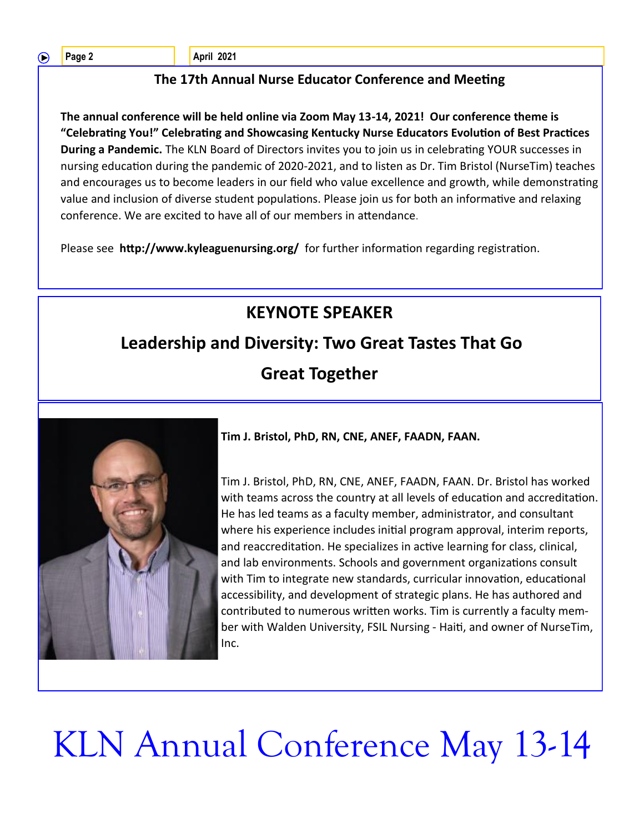∩

**Page 2 April 2021** 

### **The 17th Annual Nurse Educator Conference and Meeting**

**The annual conference will be held online via Zoom May 13-14, 2021! Our conference theme is "Celebrating You!" Celebrating and Showcasing Kentucky Nurse Educators Evolution of Best Practices During a Pandemic.** The KLN Board of Directors invites you to join us in celebrating YOUR successes in nursing education during the pandemic of 2020-2021, and to listen as Dr. Tim Bristol (NurseTim) teaches and encourages us to become leaders in our field who value excellence and growth, while demonstrating value and inclusion of diverse student populations. Please join us for both an informative and relaxing conference. We are excited to have all of our members in attendance.

Please see **http://www.kyleaguenursing.org/** for further information regarding registration.

### **KEYNOTE SPEAKER**

## **Leadership and Diversity: Two Great Tastes That Go**





**Tim J. Bristol, PhD, RN, CNE, ANEF, FAADN, FAAN.** 

Tim J. Bristol, PhD, RN, CNE, ANEF, FAADN, FAAN. Dr. Bristol has worked with teams across the country at all levels of education and accreditation. He has led teams as a faculty member, administrator, and consultant where his experience includes initial program approval, interim reports, and reaccreditation. He specializes in active learning for class, clinical, and lab environments. Schools and government organizations consult with Tim to integrate new standards, curricular innovation, educational accessibility, and development of strategic plans. He has authored and contributed to numerous written works. Tim is currently a faculty member with Walden University, FSIL Nursing - Haiti, and owner of NurseTim, Inc.

# KLN Annual Conference May 13-14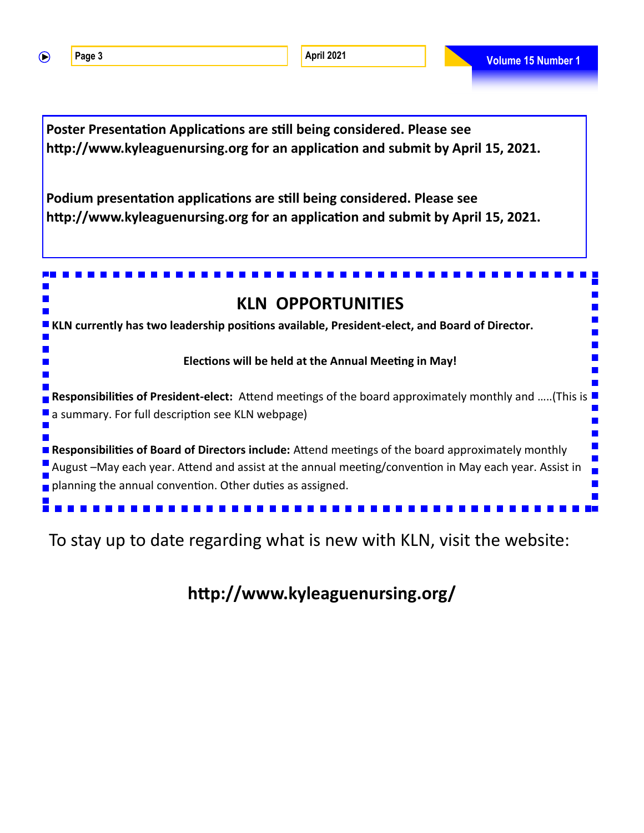$\bigcirc$ 

**Page 3 Volume 15 Number 1 April 2021 April 2021 Volume 15 Number 1** 



To stay up to date regarding what is new with KLN, visit the website:

**http://www.kyleaguenursing.org/**